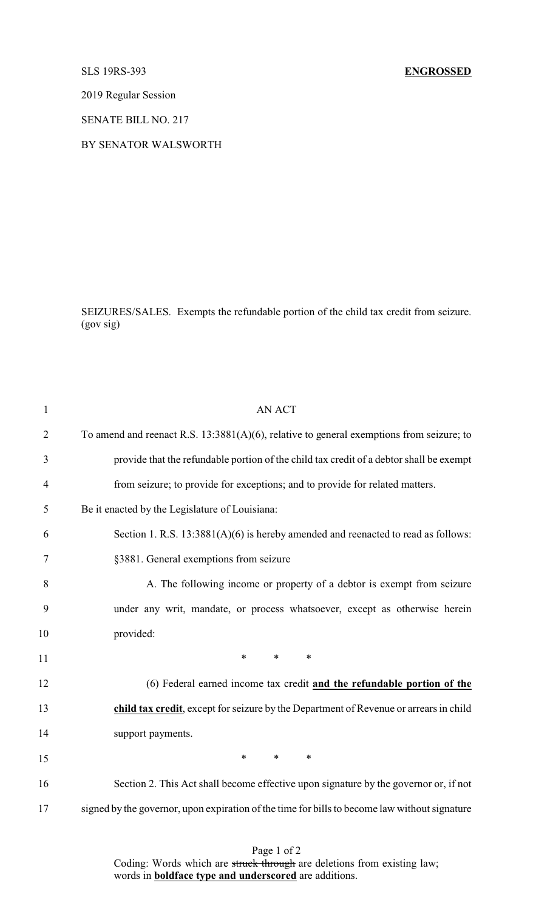2019 Regular Session

SENATE BILL NO. 217

BY SENATOR WALSWORTH

SEIZURES/SALES. Exempts the refundable portion of the child tax credit from seizure. (gov sig)

| $\mathbf{1}$   | <b>AN ACT</b>                                                                                 |
|----------------|-----------------------------------------------------------------------------------------------|
| $\overline{2}$ | To amend and reenact R.S. $13:3881(A)(6)$ , relative to general exemptions from seizure; to   |
| 3              | provide that the refundable portion of the child tax credit of a debtor shall be exempt       |
| $\overline{4}$ | from seizure; to provide for exceptions; and to provide for related matters.                  |
| 5              | Be it enacted by the Legislature of Louisiana:                                                |
| 6              | Section 1. R.S. 13:3881(A)(6) is hereby amended and reenacted to read as follows:             |
| 7              | §3881. General exemptions from seizure                                                        |
| 8              | A. The following income or property of a debtor is exempt from seizure                        |
| 9              | under any writ, mandate, or process whatsoever, except as otherwise herein                    |
| 10             | provided:                                                                                     |
| 11             | $\ast$<br>$*$ $-$<br>$\ast$                                                                   |
| 12             | (6) Federal earned income tax credit and the refundable portion of the                        |
| 13             | child tax credit, except for seizure by the Department of Revenue or arrears in child         |
| 14             | support payments.                                                                             |
| 15             | $*$<br>$\ast$<br>$\ast$                                                                       |
| 16             | Section 2. This Act shall become effective upon signature by the governor or, if not          |
| 17             | signed by the governor, upon expiration of the time for bills to become law without signature |

Page 1 of 2 Coding: Words which are struck through are deletions from existing law; words in **boldface type and underscored** are additions.